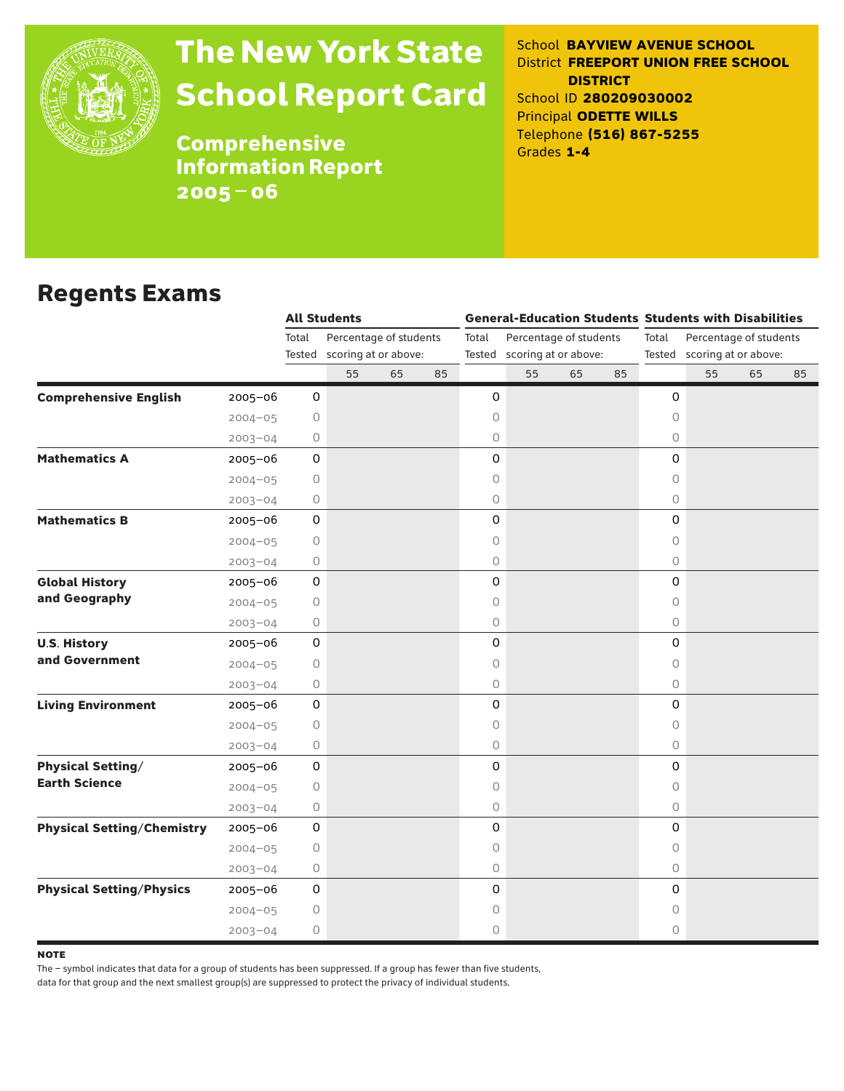

# The New York State School Report Card

School **BAYVIEW AVENUE SCHOOL** District **FREEPORT UNION FREE SCHOOL DISTRICT** School ID **280209030002** Principal **ODETTE WILLS** Telephone **(516) 867-5255** Grades **1-4**

**Comprehensive** Information Report 2005–06

### Regents Exams

|                                   |             |                     | <b>All Students</b>         |    |    | <b>General-Education Students Students with Disabilities</b> |                             |    |    |                                 |    |    |    |  |
|-----------------------------------|-------------|---------------------|-----------------------------|----|----|--------------------------------------------------------------|-----------------------------|----|----|---------------------------------|----|----|----|--|
|                                   |             | Total               | Percentage of students      |    |    | Percentage of students<br>Total                              |                             |    |    | Total<br>Percentage of students |    |    |    |  |
|                                   |             |                     | Tested scoring at or above: |    |    |                                                              | Tested scoring at or above: |    |    | Tested scoring at or above:     |    |    |    |  |
|                                   |             |                     | 55                          | 65 | 85 |                                                              | 55                          | 65 | 85 |                                 | 55 | 65 | 85 |  |
| <b>Comprehensive English</b>      | $2005 - 06$ | 0                   |                             |    |    | 0                                                            |                             |    |    | 0                               |    |    |    |  |
|                                   | $2004 - 05$ | 0                   |                             |    |    | 0                                                            |                             |    |    | 0                               |    |    |    |  |
|                                   | $2003 - 04$ | 0                   |                             |    |    | 0                                                            |                             |    |    | $\circ$                         |    |    |    |  |
| <b>Mathematics A</b>              | $2005 - 06$ | $\mathsf O$         |                             |    |    | 0                                                            |                             |    |    | 0                               |    |    |    |  |
|                                   | $2004 - 05$ | $\mathsf{O}$        |                             |    |    | 0                                                            |                             |    |    | 0                               |    |    |    |  |
|                                   | $2003 - 04$ | 0                   |                             |    |    | 0                                                            |                             |    |    | 0                               |    |    |    |  |
| <b>Mathematics B</b>              | $2005 - 06$ | 0                   |                             |    |    | 0                                                            |                             |    |    | 0                               |    |    |    |  |
|                                   | $2004 - 05$ | 0                   |                             |    |    | 0                                                            |                             |    |    | 0                               |    |    |    |  |
|                                   | $2003 - 04$ | 0                   |                             |    |    | 0                                                            |                             |    |    | 0                               |    |    |    |  |
| <b>Global History</b>             | 2005-06     | $\mathsf{O}\xspace$ |                             |    |    | 0                                                            |                             |    |    | 0                               |    |    |    |  |
| and Geography                     | $2004 - 05$ | 0                   |                             |    |    | 0                                                            |                             |    |    | 0                               |    |    |    |  |
|                                   | $2003 - 04$ | 0                   |                             |    |    | 0                                                            |                             |    |    | 0                               |    |    |    |  |
| <b>U.S. History</b>               | 2005-06     | $\mathsf{O}\xspace$ |                             |    |    | 0                                                            |                             |    |    | 0                               |    |    |    |  |
| and Government                    | $2004 - 05$ | 0                   |                             |    |    | 0                                                            |                             |    |    | 0                               |    |    |    |  |
|                                   | $2003 - 04$ | 0                   |                             |    |    | 0                                                            |                             |    |    | 0                               |    |    |    |  |
| <b>Living Environment</b>         | 2005-06     | 0                   |                             |    |    | 0                                                            |                             |    |    | 0                               |    |    |    |  |
|                                   | $2004 - 05$ | 0                   |                             |    |    | $\circ$                                                      |                             |    |    | 0                               |    |    |    |  |
|                                   | $2003 - 04$ | 0                   |                             |    |    | $\bigcirc$                                                   |                             |    |    | $\circ$                         |    |    |    |  |
| <b>Physical Setting/</b>          | $2005 - 06$ | 0                   |                             |    |    | 0                                                            |                             |    |    | 0                               |    |    |    |  |
| <b>Earth Science</b>              | $2004 - 05$ | 0                   |                             |    |    | 0                                                            |                             |    |    | 0                               |    |    |    |  |
|                                   | $2003 - 04$ | 0                   |                             |    |    | 0                                                            |                             |    |    | 0                               |    |    |    |  |
| <b>Physical Setting/Chemistry</b> | $2005 - 06$ | $\mathsf O$         |                             |    |    | 0                                                            |                             |    |    | 0                               |    |    |    |  |
|                                   | $2004 - 05$ | 0                   |                             |    |    | 0                                                            |                             |    |    | 0                               |    |    |    |  |
|                                   | $2003 - 04$ | 0                   |                             |    |    | $\bigcirc$                                                   |                             |    |    | $\circ$                         |    |    |    |  |
| <b>Physical Setting/Physics</b>   | $2005 - 06$ | $\mathsf O$         |                             |    |    | 0                                                            |                             |    |    | 0                               |    |    |    |  |
|                                   | $2004 - 05$ | 0                   |                             |    |    | 0                                                            |                             |    |    | 0                               |    |    |    |  |
|                                   | $2003 - 04$ | 0                   |                             |    |    | 0                                                            |                             |    |    | 0                               |    |    |    |  |

**NOTE** 

The – symbol indicates that data for a group of students has been suppressed. If a group has fewer than five students,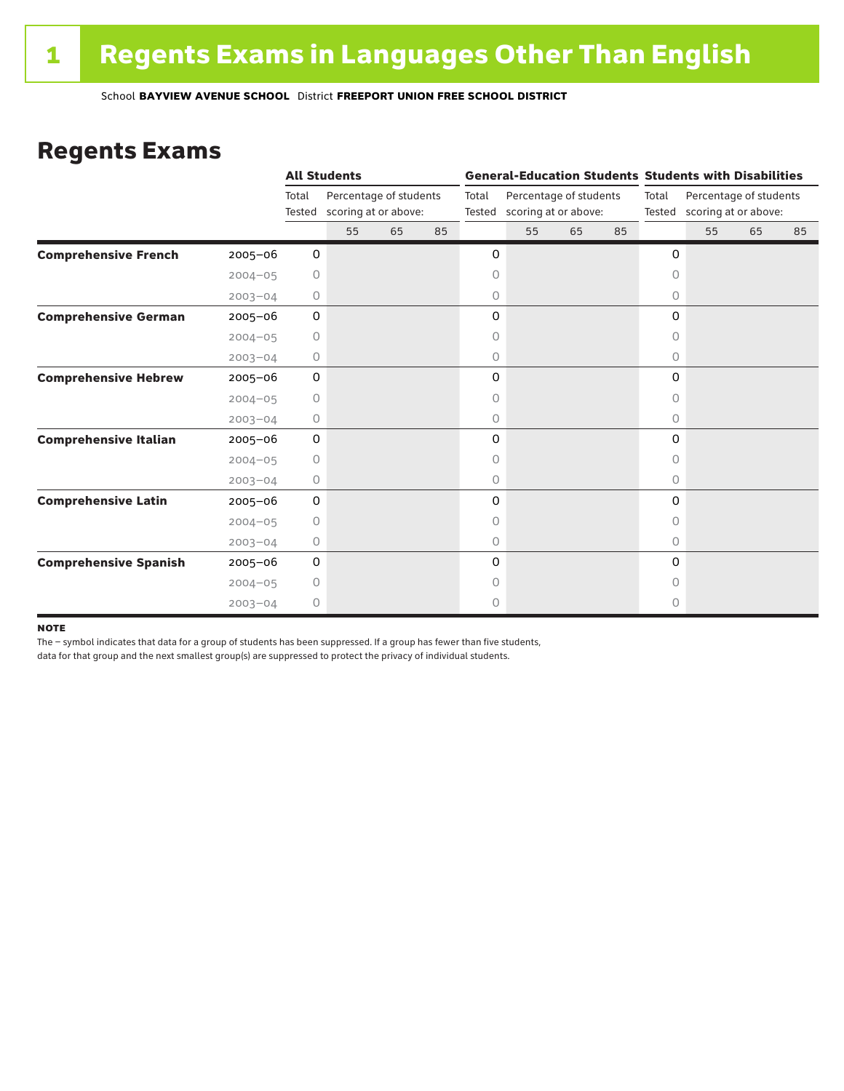### Regents Exams

|                              |             |                 | <b>All Students</b>                            |    |    |                                                                   | <b>General-Education Students Students with Disabilities</b> |    |       |                                                       |    |    |    |  |
|------------------------------|-------------|-----------------|------------------------------------------------|----|----|-------------------------------------------------------------------|--------------------------------------------------------------|----|-------|-------------------------------------------------------|----|----|----|--|
|                              |             | Total<br>Tested | Percentage of students<br>scoring at or above: |    |    | Total<br>Percentage of students<br>scoring at or above:<br>Tested |                                                              |    | Total | Percentage of students<br>Tested scoring at or above: |    |    |    |  |
|                              |             |                 | 55                                             | 65 | 85 |                                                                   | 55                                                           | 65 | 85    |                                                       | 55 | 65 | 85 |  |
| <b>Comprehensive French</b>  | $2005 - 06$ | 0               |                                                |    |    | 0                                                                 |                                                              |    |       | 0                                                     |    |    |    |  |
|                              | $2004 - 05$ | $\circ$         |                                                |    |    | 0                                                                 |                                                              |    |       | $\circ$                                               |    |    |    |  |
|                              | $2003 - 04$ | 0               |                                                |    |    | 0                                                                 |                                                              |    |       | 0                                                     |    |    |    |  |
| <b>Comprehensive German</b>  | $2005 - 06$ | 0               |                                                |    |    | 0                                                                 |                                                              |    |       | 0                                                     |    |    |    |  |
|                              | $2004 - 05$ | 0               |                                                |    |    | 0                                                                 |                                                              |    |       | $\circ$                                               |    |    |    |  |
|                              | $2003 - 04$ | 0               |                                                |    |    | 0                                                                 |                                                              |    |       | 0                                                     |    |    |    |  |
| <b>Comprehensive Hebrew</b>  | $2005 - 06$ | 0               |                                                |    |    | 0                                                                 |                                                              |    |       | 0                                                     |    |    |    |  |
|                              | $2004 - 05$ | 0               |                                                |    |    | 0                                                                 |                                                              |    |       | 0                                                     |    |    |    |  |
|                              | $2003 - 04$ | 0               |                                                |    |    | 0                                                                 |                                                              |    |       | $\circ$                                               |    |    |    |  |
| <b>Comprehensive Italian</b> | $2005 - 06$ | 0               |                                                |    |    | 0                                                                 |                                                              |    |       | 0                                                     |    |    |    |  |
|                              | $2004 - 05$ | 0               |                                                |    |    | 0                                                                 |                                                              |    |       | 0                                                     |    |    |    |  |
|                              | $2003 - 04$ | 0               |                                                |    |    | 0                                                                 |                                                              |    |       | 0                                                     |    |    |    |  |
| <b>Comprehensive Latin</b>   | $2005 - 06$ | 0               |                                                |    |    | 0                                                                 |                                                              |    |       | 0                                                     |    |    |    |  |
|                              | $2004 - 05$ | $\circ$         |                                                |    |    | 0                                                                 |                                                              |    |       | $\circ$                                               |    |    |    |  |
|                              | $2003 - 04$ | 0               |                                                |    |    | 0                                                                 |                                                              |    |       | $\circ$                                               |    |    |    |  |
| <b>Comprehensive Spanish</b> | $2005 - 06$ | 0               |                                                |    |    | 0                                                                 |                                                              |    |       | 0                                                     |    |    |    |  |
|                              | $2004 - 05$ | 0               |                                                |    |    | 0                                                                 |                                                              |    |       | Ω                                                     |    |    |    |  |
|                              | $2003 - 04$ | $\circ$         |                                                |    |    | 0                                                                 |                                                              |    |       | 0                                                     |    |    |    |  |

#### **NOTE**

The – symbol indicates that data for a group of students has been suppressed. If a group has fewer than five students,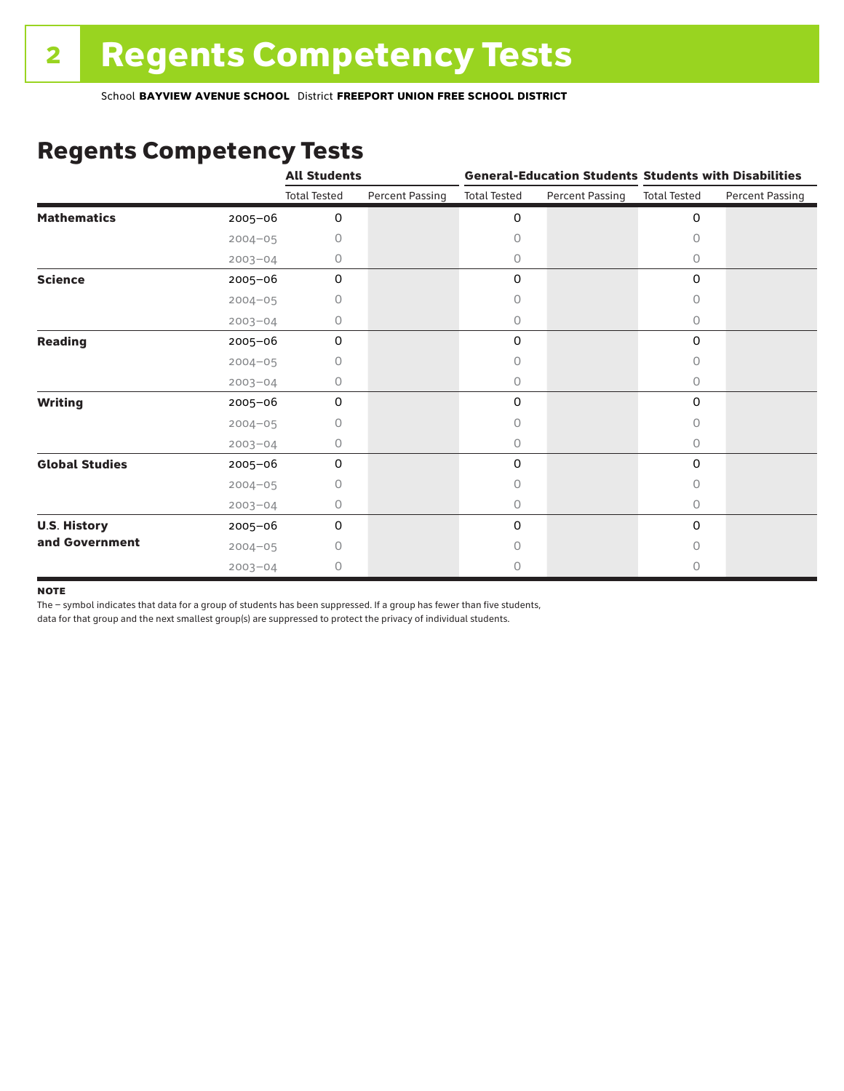### Regents Competency Tests

|                       |             | <b>All Students</b> |                        |                     |                        | <b>General-Education Students Students with Disabilities</b> |                        |  |
|-----------------------|-------------|---------------------|------------------------|---------------------|------------------------|--------------------------------------------------------------|------------------------|--|
|                       |             | <b>Total Tested</b> | <b>Percent Passing</b> | <b>Total Tested</b> | <b>Percent Passing</b> | <b>Total Tested</b>                                          | <b>Percent Passing</b> |  |
| <b>Mathematics</b>    | 2005-06     | 0                   |                        | 0                   |                        | $\mathbf 0$                                                  |                        |  |
|                       | $2004 - 05$ | 0                   |                        | 0                   |                        | $\Omega$                                                     |                        |  |
|                       | $2003 - 04$ | 0                   |                        | 0                   |                        | 0                                                            |                        |  |
| <b>Science</b>        | 2005-06     | 0                   |                        | 0                   |                        | $\mathbf 0$                                                  |                        |  |
|                       | $2004 - 05$ | 0                   |                        | 0                   |                        | 0                                                            |                        |  |
|                       | $2003 - 04$ | 0                   |                        | 0                   |                        | 0                                                            |                        |  |
| <b>Reading</b>        | 2005-06     | 0                   |                        | 0                   |                        | 0                                                            |                        |  |
|                       | $2004 - 05$ | 0                   |                        | 0                   |                        | 0                                                            |                        |  |
|                       | $2003 - 04$ | 0                   |                        | 0                   |                        | 0                                                            |                        |  |
| <b>Writing</b>        | 2005-06     | 0                   |                        | 0                   |                        | $\mathbf 0$                                                  |                        |  |
|                       | $2004 - 05$ | 0                   |                        | 0                   |                        | $\Omega$                                                     |                        |  |
|                       | $2003 - 04$ | 0                   |                        | 0                   |                        | $\circ$                                                      |                        |  |
| <b>Global Studies</b> | 2005-06     | $\mathbf 0$         |                        | 0                   |                        | 0                                                            |                        |  |
|                       | $2004 - 05$ | 0                   |                        | 0                   |                        | 0                                                            |                        |  |
|                       | $2003 - 04$ | 0                   |                        | 0                   |                        | $\circ$                                                      |                        |  |
| <b>U.S. History</b>   | 2005-06     | 0                   |                        | 0                   |                        | $\mathbf 0$                                                  |                        |  |
| and Government        | $2004 - 05$ | Ω                   |                        | Ω                   |                        | 0                                                            |                        |  |
|                       | $2003 - 04$ | 0                   |                        | 0                   |                        | 0                                                            |                        |  |

#### **NOTE**

The – symbol indicates that data for a group of students has been suppressed. If a group has fewer than five students,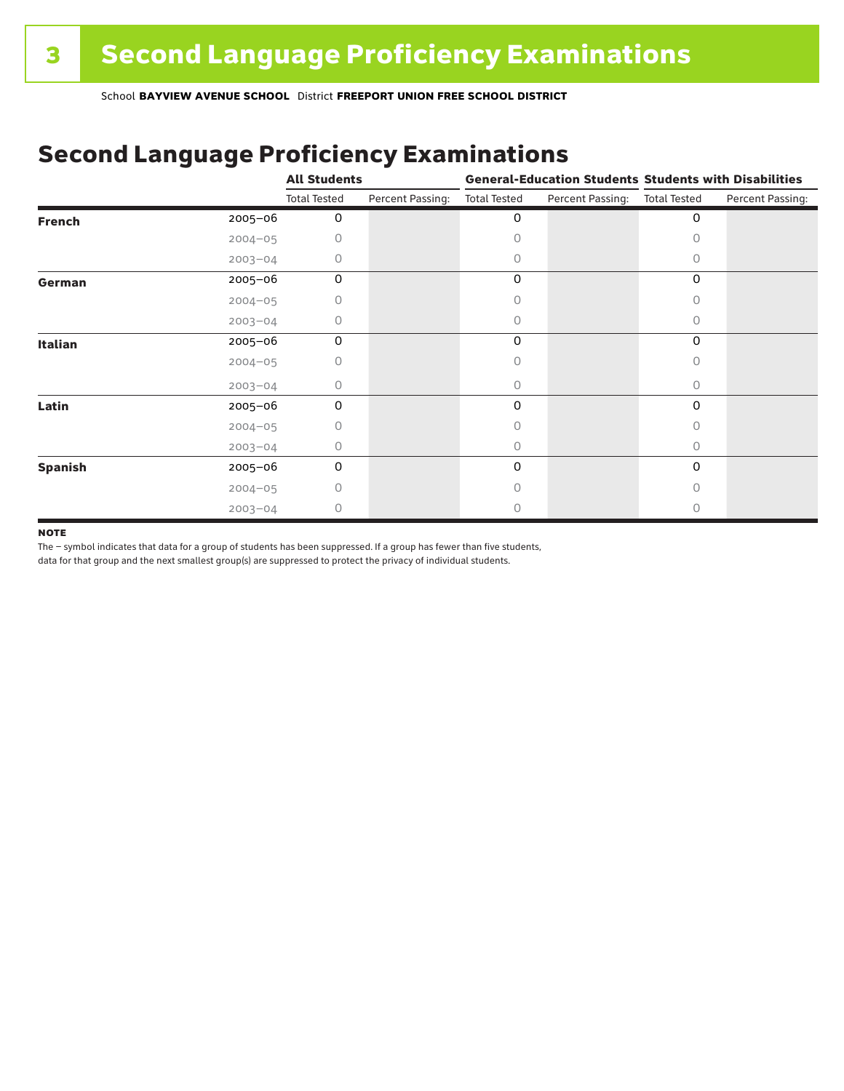## Second Language Proficiency Examinations

|                |             | <b>All Students</b> |                  |                     |                  | <b>General-Education Students Students with Disabilities</b> |                  |  |
|----------------|-------------|---------------------|------------------|---------------------|------------------|--------------------------------------------------------------|------------------|--|
|                |             | <b>Total Tested</b> | Percent Passing: | <b>Total Tested</b> | Percent Passing: | <b>Total Tested</b>                                          | Percent Passing: |  |
| <b>French</b>  | $2005 - 06$ | 0                   |                  | 0                   |                  | 0                                                            |                  |  |
|                | $2004 - 05$ | 0                   |                  |                     |                  |                                                              |                  |  |
|                | $2003 - 04$ | 0                   |                  | Ω                   |                  | 0                                                            |                  |  |
| German         | 2005-06     | 0                   |                  | 0                   |                  | 0                                                            |                  |  |
|                | $2004 - 05$ | 0                   |                  | 0                   |                  | Ω                                                            |                  |  |
|                | $2003 - 04$ | 0                   |                  | 0                   |                  | 0                                                            |                  |  |
| <b>Italian</b> | 2005-06     | 0                   |                  | 0                   |                  | 0                                                            |                  |  |
|                | $2004 - 05$ |                     |                  |                     |                  |                                                              |                  |  |
|                | $2003 - 04$ | 0                   |                  | 0                   |                  | 0                                                            |                  |  |
| Latin          | 2005-06     | 0                   |                  | 0                   |                  | 0                                                            |                  |  |
|                | $2004 - 05$ | 0                   |                  |                     |                  |                                                              |                  |  |
|                | $2003 - 04$ | 0                   |                  | 0                   |                  | 0                                                            |                  |  |
| <b>Spanish</b> | 2005-06     | 0                   |                  | 0                   |                  | 0                                                            |                  |  |
|                | $2004 - 05$ | 0                   |                  | Ω                   |                  | Ω                                                            |                  |  |
|                | $2003 - 04$ | 0                   |                  |                     |                  |                                                              |                  |  |

#### **NOTE**

The – symbol indicates that data for a group of students has been suppressed. If a group has fewer than five students,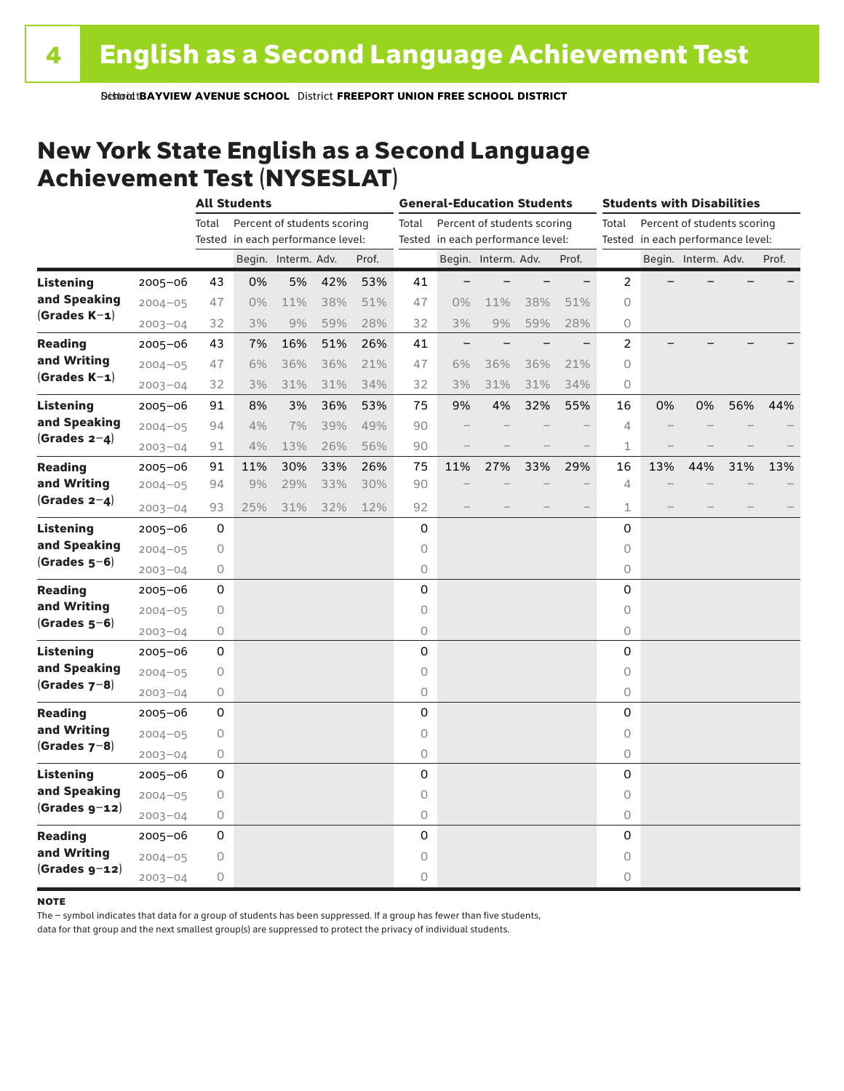### New York State English as a Second Language Achievement Test (NYSESLAT)

|                  |             | <b>All Students</b> |                                   |                             |     |       | <b>General-Education Students</b> |                                   |                             |     | <b>Students with Disabilities</b> |                                      |     |                                   |     |       |
|------------------|-------------|---------------------|-----------------------------------|-----------------------------|-----|-------|-----------------------------------|-----------------------------------|-----------------------------|-----|-----------------------------------|--------------------------------------|-----|-----------------------------------|-----|-------|
|                  |             | Total               |                                   | Percent of students scoring |     |       | Total                             |                                   | Percent of students scoring |     |                                   | Percent of students scoring<br>Total |     |                                   |     |       |
|                  |             |                     | Tested in each performance level: |                             |     |       |                                   | Tested in each performance level: |                             |     |                                   |                                      |     | Tested in each performance level: |     |       |
|                  |             |                     |                                   | Begin. Interm. Adv.         |     | Prof. |                                   |                                   | Begin. Interm. Adv.         |     | Prof.                             |                                      |     | Begin. Interm. Adv.               |     | Prof. |
| <b>Listening</b> | 2005-06     | 43                  | 0%                                | 5%                          | 42% | 53%   | 41                                |                                   |                             |     | $\overline{\phantom{0}}$          | 2                                    |     |                                   |     |       |
| and Speaking     | $2004 - 05$ | 47                  | $0\%$                             | 11%                         | 38% | 51%   | 47                                | 0%                                | 11%                         | 38% | 51%                               | 0                                    |     |                                   |     |       |
| $(Grades K-1)$   | $2003 - 04$ | 32                  | 3%                                | 9%                          | 59% | 28%   | 32                                | 3%                                | 9%                          | 59% | 28%                               | 0                                    |     |                                   |     |       |
| <b>Reading</b>   | $2005 - 06$ | 43                  | 7%                                | 16%                         | 51% | 26%   | 41                                | $\overline{\phantom{m}}$          |                             |     |                                   | 2                                    |     |                                   |     |       |
| and Writing      | $2004 - 05$ | 47                  | 6%                                | 36%                         | 36% | 21%   | 47                                | 6%                                | 36%                         | 36% | 21%                               | 0                                    |     |                                   |     |       |
| $(Grades K-1)$   | $2003 - 04$ | 32                  | 3%                                | 31%                         | 31% | 34%   | 32                                | 3%                                | 31%                         | 31% | 34%                               | 0                                    |     |                                   |     |       |
| Listening        | $2005 - 06$ | 91                  | 8%                                | 3%                          | 36% | 53%   | 75                                | 9%                                | 4%                          | 32% | 55%                               | 16                                   | 0%  | 0%                                | 56% | 44%   |
| and Speaking     | $2004 - 05$ | 94                  | 4%                                | 7%                          | 39% | 49%   | 90                                |                                   |                             |     |                                   | 4                                    |     |                                   |     |       |
| $(Grades 2-4)$   | $2003 - 04$ | 91                  | 4%                                | 13%                         | 26% | 56%   | 90                                |                                   |                             |     | $\qquad \qquad -$                 | $\mathbf 1$                          |     |                                   |     |       |
| <b>Reading</b>   | 2005-06     | 91                  | 11%                               | 30%                         | 33% | 26%   | 75                                | 11%                               | 27%                         | 33% | 29%                               | 16                                   | 13% | 44%                               | 31% | 13%   |
| and Writing      | $2004 - 05$ | 94                  | 9%                                | 29%                         | 33% | 30%   | 90                                |                                   |                             |     |                                   | $\overline{4}$                       |     |                                   |     |       |
| (Grades $2-4$ )  | $2003 - 04$ | 93                  | 25%                               | 31%                         | 32% | 12%   | 92                                |                                   |                             |     |                                   | 1                                    |     |                                   |     |       |
| Listening        | $2005 - 06$ | 0                   |                                   |                             |     |       | 0                                 |                                   |                             |     |                                   | 0                                    |     |                                   |     |       |
| and Speaking     | $2004 - 05$ | 0                   |                                   |                             |     |       | 0                                 |                                   |                             |     |                                   | 0                                    |     |                                   |     |       |
| $(Grades 5-6)$   | $2003 - 04$ | 0                   |                                   |                             |     |       | 0                                 |                                   |                             |     |                                   | 0                                    |     |                                   |     |       |
| Reading          | $2005 - 06$ | 0                   |                                   |                             |     |       | $\mathbf 0$                       |                                   |                             |     |                                   | 0                                    |     |                                   |     |       |
| and Writing      | $2004 - 05$ | 0                   |                                   |                             |     |       | $\circ$                           |                                   |                             |     |                                   | 0                                    |     |                                   |     |       |
| $(Grades 5-6)$   | $2003 - 04$ | 0                   |                                   |                             |     |       | 0                                 |                                   |                             |     |                                   | 0                                    |     |                                   |     |       |
| Listening        | 2005-06     | 0                   |                                   |                             |     |       | 0                                 |                                   |                             |     |                                   | 0                                    |     |                                   |     |       |
| and Speaking     | $2004 - 05$ | 0                   |                                   |                             |     |       | $\circ$                           |                                   |                             |     |                                   | $\circ$                              |     |                                   |     |       |
| (Grades $7-8$ )  | $2003 - 04$ | 0                   |                                   |                             |     |       | $\circ$                           |                                   |                             |     |                                   | 0                                    |     |                                   |     |       |
| <b>Reading</b>   | $2005 - 06$ | 0                   |                                   |                             |     |       | $\mathbf 0$                       |                                   |                             |     |                                   | 0                                    |     |                                   |     |       |
| and Writing      | $2004 - 05$ | 0                   |                                   |                             |     |       | $\circ$                           |                                   |                             |     |                                   | 0                                    |     |                                   |     |       |
| $(Grades 7-8)$   | $2003 - 04$ | 0                   |                                   |                             |     |       | $\circ$                           |                                   |                             |     |                                   | 0                                    |     |                                   |     |       |
| <b>Listening</b> | $2005 - 06$ | 0                   |                                   |                             |     |       | 0                                 |                                   |                             |     |                                   | 0                                    |     |                                   |     |       |
| and Speaking     | $2004 - 05$ | 0                   |                                   |                             |     |       | $\circ$                           |                                   |                             |     |                                   | 0                                    |     |                                   |     |       |
| $(Grades g-12)$  | $2003 - 04$ | 0                   |                                   |                             |     |       | 0                                 |                                   |                             |     |                                   | 0                                    |     |                                   |     |       |
| <b>Reading</b>   | 2005-06     | 0                   |                                   |                             |     |       | 0                                 |                                   |                             |     |                                   | 0                                    |     |                                   |     |       |
| and Writing      | $2004 - 05$ | 0                   |                                   |                             |     |       | 0                                 |                                   |                             |     |                                   | 0                                    |     |                                   |     |       |
| $(Grades g-12)$  | $2003 - 04$ | 0                   |                                   |                             |     |       | $\circ$                           |                                   |                             |     |                                   | 0                                    |     |                                   |     |       |

#### **NOTE**

The – symbol indicates that data for a group of students has been suppressed. If a group has fewer than five students,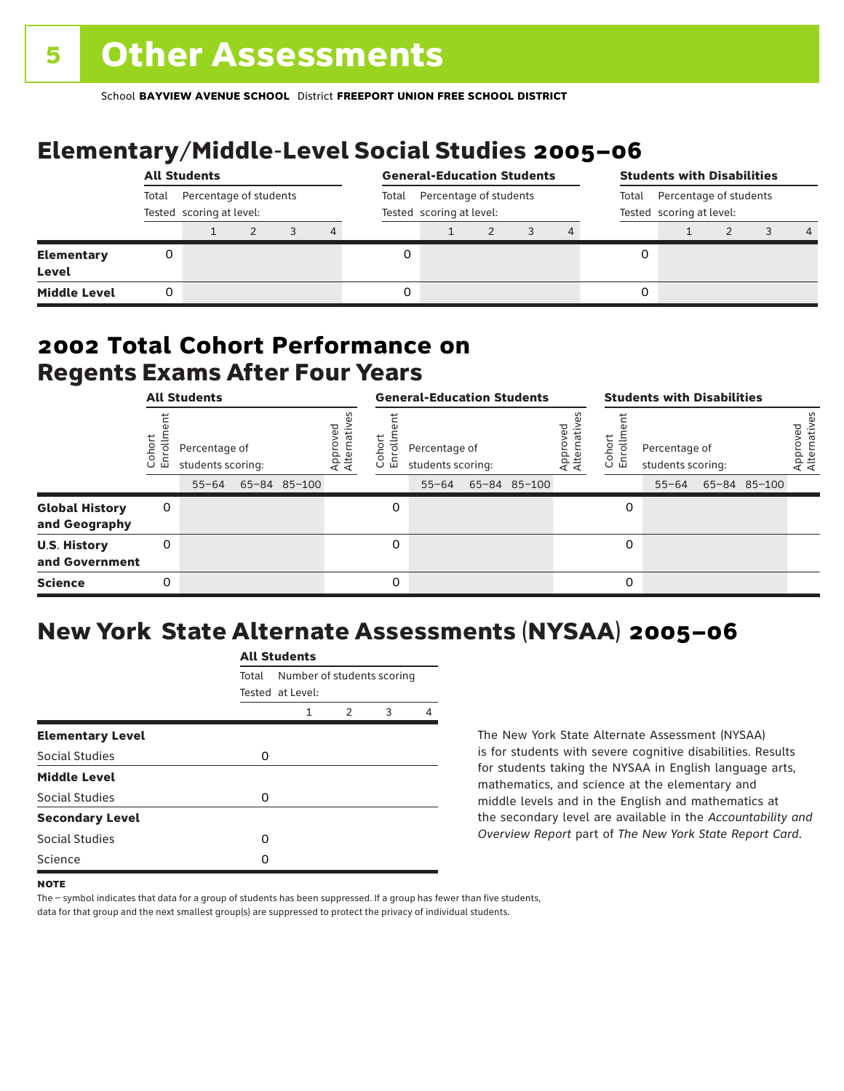# Elementary/Middle-Level Social Studies 2005–06

|                            | <b>All Students</b>                                         |  |  |       |                                                    |  | <b>General-Education Students</b> |  |                                                             |  |  | <b>Students with Disabilities</b> |  |  |                |  |
|----------------------------|-------------------------------------------------------------|--|--|-------|----------------------------------------------------|--|-----------------------------------|--|-------------------------------------------------------------|--|--|-----------------------------------|--|--|----------------|--|
|                            | Total<br>Percentage of students<br>Tested scoring at level: |  |  | Total | Percentage of students<br>Tested scoring at level: |  |                                   |  | Percentage of students<br>Total<br>Tested scoring at level: |  |  |                                   |  |  |                |  |
|                            |                                                             |  |  |       | 4                                                  |  |                                   |  |                                                             |  |  |                                   |  |  | $\overline{4}$ |  |
| <b>Elementary</b><br>Level |                                                             |  |  |       |                                                    |  |                                   |  |                                                             |  |  |                                   |  |  |                |  |
| <b>Middle Level</b>        |                                                             |  |  |       |                                                    |  |                                   |  |                                                             |  |  |                                   |  |  |                |  |

### Regents Exams After Four Years 2002 **Total Cohort Performance on**

| <b>All Students</b>                    |                |                                                 |  | <b>General-Education Students</b> |                         |                         |                                                 |  | <b>Students with Disabilities</b> |                               |                  |                                    |  |                    |                          |
|----------------------------------------|----------------|-------------------------------------------------|--|-----------------------------------|-------------------------|-------------------------|-------------------------------------------------|--|-----------------------------------|-------------------------------|------------------|------------------------------------|--|--------------------|--------------------------|
|                                        | oho<br>ō<br>ごこ | Percentage of<br>students scoring:<br>$55 - 64$ |  | 65-84 85-100                      | Approved<br>Alternative | ЪÓ<br>o.<br>면<br>$\cup$ | Percentage of<br>students scoring:<br>$55 - 64$ |  | 65-84 85-100                      | ved<br>Approvec<br>Alternativ | Cohort<br>5<br>훕 | Percentage of<br>students scoring: |  | 55-64 65-84 85-100 | Approved<br>Alternatives |
| <b>Global History</b><br>and Geography | 0              |                                                 |  |                                   |                         | 0                       |                                                 |  |                                   |                               | 0                |                                    |  |                    |                          |
| <b>U.S. History</b><br>and Government  | 0              |                                                 |  |                                   |                         | 0                       |                                                 |  |                                   |                               | 0                |                                    |  |                    |                          |
| <b>Science</b>                         | 0              |                                                 |  |                                   |                         | 0                       |                                                 |  |                                   |                               | 0                |                                    |  |                    |                          |

## New York State Alternate Assessments (NYSAA) 2005–06

|                         |       | <b>All Students</b>        |   |   |   |  |  |  |  |  |
|-------------------------|-------|----------------------------|---|---|---|--|--|--|--|--|
|                         | Total | Number of students scoring |   |   |   |  |  |  |  |  |
|                         |       | Tested at Level:           |   |   |   |  |  |  |  |  |
|                         |       | 1                          | 2 | 3 | 4 |  |  |  |  |  |
| <b>Elementary Level</b> |       |                            |   |   |   |  |  |  |  |  |
| Social Studies          | 0     |                            |   |   |   |  |  |  |  |  |
| <b>Middle Level</b>     |       |                            |   |   |   |  |  |  |  |  |
| Social Studies          | O     |                            |   |   |   |  |  |  |  |  |
| <b>Secondary Level</b>  |       |                            |   |   |   |  |  |  |  |  |
| Social Studies          | O     |                            |   |   |   |  |  |  |  |  |
| Science                 | n     |                            |   |   |   |  |  |  |  |  |
|                         |       |                            |   |   |   |  |  |  |  |  |

The New York State Alternate Assessment (NYSAA) is for students with severe cognitive disabilities. Results for students taking the NYSAA in English language arts, mathematics, and science at the elementary and middle levels and in the English and mathematics at the secondary level are available in the *Accountability and Overview Report* part of *The New York State Report Card*.

The – symbol indicates that data for a group of students has been suppressed. If a group has fewer than five students, data for that group and the next smallest group(s) are suppressed to protect the privacy of individual students.

**NOTE**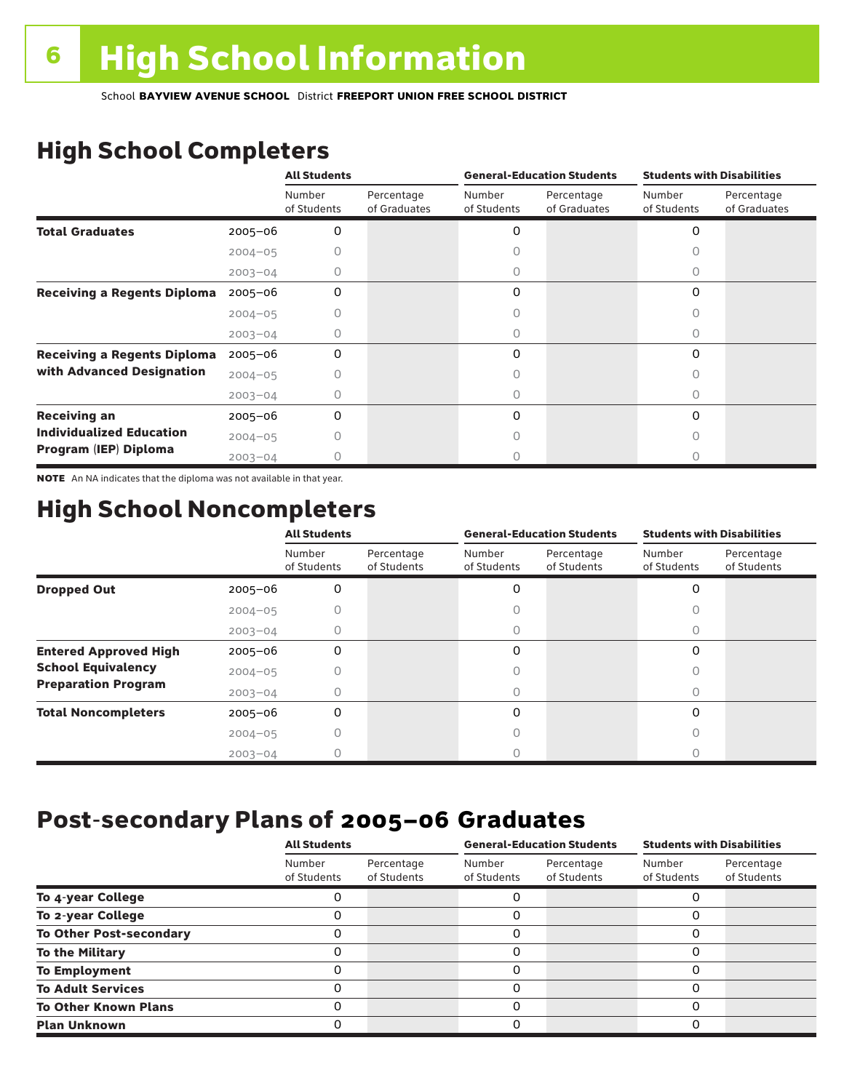# High School Completers

|                                    |             | <b>All Students</b>   |                            |                       | <b>General-Education Students</b> | <b>Students with Disabilities</b> |                            |  |
|------------------------------------|-------------|-----------------------|----------------------------|-----------------------|-----------------------------------|-----------------------------------|----------------------------|--|
|                                    |             | Number<br>of Students | Percentage<br>of Graduates | Number<br>of Students | Percentage<br>of Graduates        | Number<br>of Students             | Percentage<br>of Graduates |  |
| <b>Total Graduates</b>             | $2005 - 06$ | 0                     |                            | 0                     |                                   | 0                                 |                            |  |
|                                    | $2004 - 05$ |                       |                            |                       |                                   |                                   |                            |  |
|                                    | $2003 - 04$ | 0                     |                            | 0                     |                                   | 0                                 |                            |  |
| <b>Receiving a Regents Diploma</b> | $2005 - 06$ | 0                     |                            | 0                     |                                   | 0                                 |                            |  |
|                                    | $2004 - 05$ |                       |                            |                       |                                   | n                                 |                            |  |
|                                    | $2003 - 04$ | O                     |                            | O                     |                                   | Ω                                 |                            |  |
| <b>Receiving a Regents Diploma</b> | $2005 - 06$ | 0                     |                            | 0                     |                                   | $\Omega$                          |                            |  |
| with Advanced Designation          | $2004 - 05$ |                       |                            |                       |                                   |                                   |                            |  |
|                                    | $2003 - 04$ |                       |                            |                       |                                   | U                                 |                            |  |
| <b>Receiving an</b>                | $2005 - 06$ | 0                     |                            | 0                     |                                   | $\Omega$                          |                            |  |
| <b>Individualized Education</b>    | $2004 - 05$ |                       |                            |                       |                                   |                                   |                            |  |
| Program (IEP) Diploma              | $2003 - 04$ |                       |                            |                       |                                   |                                   |                            |  |

NOTE An NA indicates that the diploma was not available in that year.

### High School Noncompleters

|                              |             | <b>All Students</b>   |                           |                       | <b>General-Education Students</b> | <b>Students with Disabilities</b> |                           |  |
|------------------------------|-------------|-----------------------|---------------------------|-----------------------|-----------------------------------|-----------------------------------|---------------------------|--|
|                              |             | Number<br>of Students | Percentage<br>of Students | Number<br>of Students | Percentage<br>of Students         | Number<br>of Students             | Percentage<br>of Students |  |
| <b>Dropped Out</b>           | $2005 - 06$ | 0                     |                           | 0                     |                                   | 0                                 |                           |  |
|                              | $2004 - 05$ |                       |                           |                       |                                   |                                   |                           |  |
|                              | $2003 - 04$ |                       |                           |                       |                                   |                                   |                           |  |
| <b>Entered Approved High</b> | $2005 - 06$ | 0                     |                           | 0                     |                                   | 0                                 |                           |  |
| <b>School Equivalency</b>    | $2004 - 05$ |                       |                           |                       |                                   | O                                 |                           |  |
| <b>Preparation Program</b>   | $2003 - 04$ |                       |                           | 0                     |                                   | $\bigcap$                         |                           |  |
| <b>Total Noncompleters</b>   | $2005 - 06$ | 0                     |                           | 0                     |                                   | 0                                 |                           |  |
|                              | $2004 - 05$ |                       |                           |                       |                                   |                                   |                           |  |
|                              | $2003 - 04$ |                       |                           |                       |                                   |                                   |                           |  |

### Post-secondary Plans of 2005–06 **Graduates**

|                                | <b>All Students</b>   |                           |                       | <b>General-Education Students</b> | <b>Students with Disabilities</b> |                           |  |
|--------------------------------|-----------------------|---------------------------|-----------------------|-----------------------------------|-----------------------------------|---------------------------|--|
|                                | Number<br>of Students | Percentage<br>of Students | Number<br>of Students | Percentage<br>of Students         | Number<br>of Students             | Percentage<br>of Students |  |
| To 4-year College              |                       |                           |                       |                                   |                                   |                           |  |
| To 2-year College              |                       |                           | 0                     |                                   | 0                                 |                           |  |
| <b>To Other Post-secondary</b> |                       |                           | ი                     |                                   | 0                                 |                           |  |
| <b>To the Military</b>         |                       |                           | ი                     |                                   | 0                                 |                           |  |
| <b>To Employment</b>           |                       |                           | 0                     |                                   | 0                                 |                           |  |
| <b>To Adult Services</b>       |                       |                           |                       |                                   | O                                 |                           |  |
| <b>To Other Known Plans</b>    |                       |                           | 0                     |                                   | 0                                 |                           |  |
| <b>Plan Unknown</b>            |                       |                           |                       |                                   | 0                                 |                           |  |